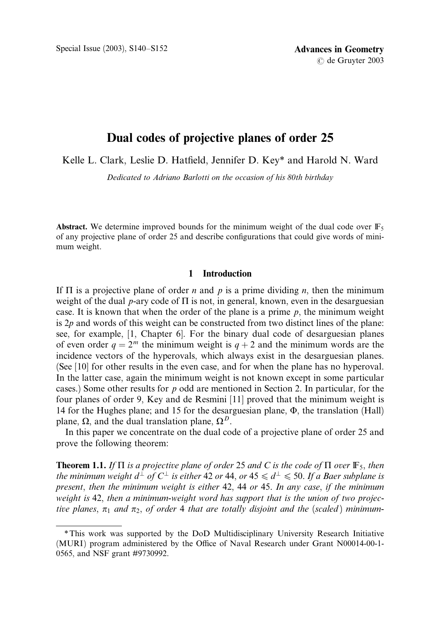# Dual codes of projective planes of order 25

Kelle L. Clark, Leslie D. Hatfield, Jennifer D. Key\* and Harold N. Ward

Dedicated to Adriano Barlotti on the occasion of his 80th birthday

Abstract. We determine improved bounds for the minimum weight of the dual code over  $\mathbb{F}_5$ of any projective plane of order 25 and describe configurations that could give words of minimum weight.

## 1 Introduction

If  $\Pi$  is a projective plane of order *n* and *p* is a prime dividing *n*, then the minimum weight of the dual p-ary code of  $\Pi$  is not, in general, known, even in the desarguesian case. It is known that when the order of the plane is a prime  $p$ , the minimum weight is  $2p$  and words of this weight can be constructed from two distinct lines of the plane: see, for example, [1, Chapter 6]. For the binary dual code of desarguesian planes of even order  $q = 2^m$  the minimum weight is  $q + 2$  and the minimum words are the incidence vectors of the hyperovals, which always exist in the desarguesian planes. (See [10] for other results in the even case, and for when the plane has no hyperoval. In the latter case, again the minimum weight is not known except in some particular cases.) Some other results for  $p$  odd are mentioned in Section 2. In particular, for the four planes of order 9, Key and de Resmini [11] proved that the minimum weight is 14 for the Hughes plane; and 15 for the desarguesian plane,  $\Phi$ , the translation (Hall) plane,  $\Omega$ , and the dual translation plane,  $\Omega^D$ .

In this paper we concentrate on the dual code of a projective plane of order 25 and prove the following theorem:

**Theorem 1.1.** If  $\Pi$  is a projective plane of order 25 and C is the code of  $\Pi$  over  $\mathbb{F}_5$ , then the minimum weight  $d^{\perp}$  of  $C^{\perp}$  is either 42 or 44, or 45  $\leq d^{\perp} \leq 50$ . If a Baer subplane is present, then the minimum weight is either 42, 44 or 45. In any case, if the minimum weight is 42, then a minimum-weight word has support that is the union of two projective planes,  $\pi_1$  and  $\pi_2$ , of order 4 that are totally disjoint and the (scaled) minimum-

<sup>\*</sup>This work was supported by the DoD Multidisciplinary University Research Initiative (MURI) program administered by the Office of Naval Research under Grant N00014-00-1-0565, and NSF grant #9730992.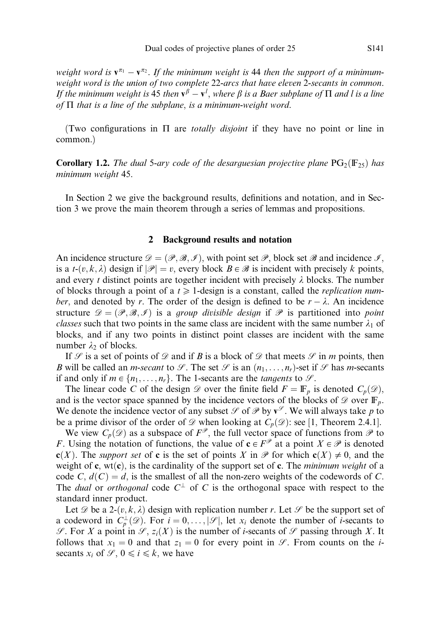weight word is  $\mathbf{v}^{\pi_1} - \mathbf{v}^{\pi_2}$ . If the minimum weight is 44 then the support of a minimumweight word is the union of two complete 22-arcs that have eleven 2-secants in common. If the minimum weight is 45 then  $\mathbf{v}^{\beta} - \mathbf{v}^l$ , where  $\beta$  is a Baer subplane of  $\Pi$  and l is a line of  $\Pi$  that is a line of the subplane, is a minimum-weight word.

(Two configurations in  $\Pi$  are *totally disjoint* if they have no point or line in common.)

**Corollary 1.2.** The dual 5-ary code of the desarguesian projective plane  $PG_2(F_{25})$  has minimum weight 45.

In Section 2 we give the background results, definitions and notation, and in Section 3 we prove the main theorem through a series of lemmas and propositions.

### 2 Background results and notation

An incidence structure  $\mathscr{D} = (\mathscr{P}, \mathscr{B}, \mathscr{I})$ , with point set  $\mathscr{P}$ , block set  $\mathscr{B}$  and incidence  $\mathscr{I}$ , is a t- $(v, k, \lambda)$  design if  $|\mathscr{P}| = v$ , every block  $B \in \mathscr{B}$  is incident with precisely k points, and every t distinct points are together incident with precisely  $\lambda$  blocks. The number of blocks through a point of a  $t \geq 1$ -design is a constant, called the *replication num*ber, and denoted by r. The order of the design is defined to be  $r - \lambda$ . An incidence structure  $\mathscr{D} = (\mathscr{P}, \mathscr{B}, \mathscr{I})$  is a group divisible design if  $\mathscr{P}$  is partitioned into point *classes* such that two points in the same class are incident with the same number  $\lambda_1$  of blocks, and if any two points in distinct point classes are incident with the same number  $\lambda_2$  of blocks.

If  $\mathcal S$  is a set of points of  $\mathcal D$  and if B is a block of  $\mathcal D$  that meets  $\mathcal S$  in m points, then B will be called an *m-secant* to  $\mathcal{S}$ . The set  $\mathcal{S}$  is an  $(n_1, \ldots, n_r)$ -set if  $\mathcal{S}$  has *m*-secants if and only if  $m \in \{n_1, \ldots, n_r\}$ . The 1-secants are the *tangents* to  $\mathcal{S}$ .

The linear code C of the design  $\mathscr D$  over the finite field  $F = \mathbb F_p$  is denoted  $C_p(\mathscr D)$ , and is the vector space spanned by the incidence vectors of the blocks of  $\mathscr{D}$  over  $\mathbb{F}_p$ . We denote the incidence vector of any subset  $\mathcal S$  of  $\mathcal P$  by  $\mathbf v^{\mathcal S}$ . We will always take p to be a prime divisor of the order of  $\mathscr D$  when looking at  $C_p(\mathscr D)$ : see [1, Theorem 2.4.1].

We view  $C_p(\mathscr{D})$  as a subspace of  $F^{\mathscr{P}}$ , the full vector space of functions from  $\mathscr{P}$  to F. Using the notation of functions, the value of  $\mathbf{c} \in F^{\mathcal{P}}$  at a point  $X \in \mathcal{P}$  is denoted  $c(X)$ . The support set of c is the set of points X in P for which  $c(X) \neq 0$ , and the weight of c, wt(c), is the cardinality of the support set of c. The *minimum weight* of a code C,  $d(C) = d$ , is the smallest of all the non-zero weights of the codewords of C. The *dual* or *orthogonal* code  $C^{\perp}$  of C is the orthogonal space with respect to the standard inner product.

Let  $\mathscr D$  be a 2- $(v, k, \lambda)$  design with replication number r. Let  $\mathscr P$  be the support set of a codeword in  $C_p^{\perp}(\mathscr{D})$ . For  $i = 0, \ldots, |\mathscr{S}|$ , let  $x_i$  denote the number of *i*-secants to  $\mathscr{S}$ . For X a point in  $\mathscr{S}$ ,  $z_i(X)$  is the number of *i*-secants of  $\mathscr{S}$  passing through X. It follows that  $x_1 = 0$  and that  $z_1 = 0$  for every point in  $\mathscr{S}$ . From counts on the *i*secants  $x_i$  of  $\mathcal{S}, 0 \le i \le k$ , we have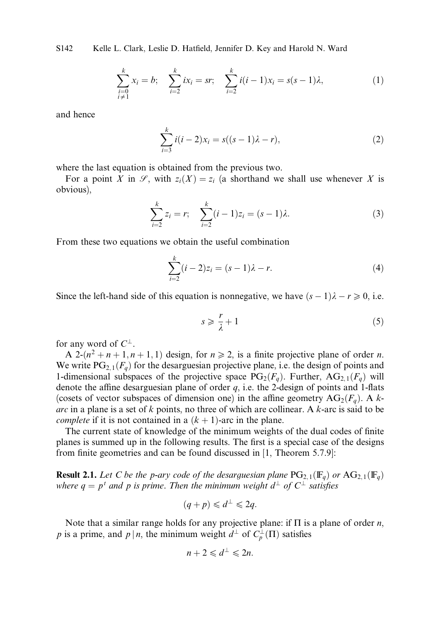S142 Kelle L. Clark, Leslie D. Hatfield, Jennifer D. Key and Harold N. Ward

$$
\sum_{\substack{i=0 \ i \neq 1}}^k x_i = b; \quad \sum_{i=2}^k ix_i = sr; \quad \sum_{i=2}^k i(i-1)x_i = s(s-1)\lambda,
$$
 (1)

and hence

$$
\sum_{i=3}^{k} i(i-2)x_i = s((s-1)\lambda - r),
$$
\n(2)

where the last equation is obtained from the previous two.

For a point X in  $\mathcal{S}$ , with  $z_i(X) = z_i$  (a shorthand we shall use whenever X is obvious),

$$
\sum_{i=2}^{k} z_i = r; \quad \sum_{i=2}^{k} (i-1)z_i = (s-1)\lambda.
$$
 (3)

From these two equations we obtain the useful combination

$$
\sum_{i=2}^{k} (i-2)z_i = (s-1)\lambda - r.
$$
 (4)

Since the left-hand side of this equation is nonnegative, we have  $(s - 1)\lambda - r \ge 0$ , i.e.

$$
s \geqslant \frac{r}{\lambda} + 1\tag{5}
$$

for any word of  $C^{\perp}$ .

A 2- $(n^2 + n + 1, n + 1, 1)$  design, for  $n \ge 2$ , is a finite projective plane of order *n*. We write  $PG_{2,1}(F_q)$  for the desarguesian projective plane, i.e. the design of points and 1-dimensional subspaces of the projective space  $PG_2(F_a)$ . Further,  $AG_{2,1}(F_a)$  will denote the affine desarguesian plane of order  $q$ , i.e. the 2-design of points and 1-flats (cosets of vector subspaces of dimension one) in the affine geometry  $AG_2(F_q)$ . A karc in a plane is a set of  $k$  points, no three of which are collinear. A  $k$ -arc is said to be *complete* if it is not contained in a  $(k + 1)$ -arc in the plane.

The current state of knowledge of the minimum weights of the dual codes of finite planes is summed up in the following results. The first is a special case of the designs from finite geometries and can be found discussed in [1, Theorem 5.7.9]:

**Result 2.1.** Let C be the p-ary code of the desarguesian plane  $PG_{2,1}(\mathbb{F}_q)$  or  $AG_{2,1}(\mathbb{F}_q)$ where  $q = p^t$  and p is prime. Then the minimum weight  $d^{\perp}$  of  $C^{\perp}$  satisfies

$$
(q+p) \leq d^{\perp} \leq 2q.
$$

Note that a similar range holds for any projective plane: if  $\Pi$  is a plane of order n, p is a prime, and p | n, the minimum weight  $d^{\perp}$  of  $C_p^{\perp}(\Pi)$  satisfies

$$
n+2\leqslant d^{\perp}\leqslant 2n.
$$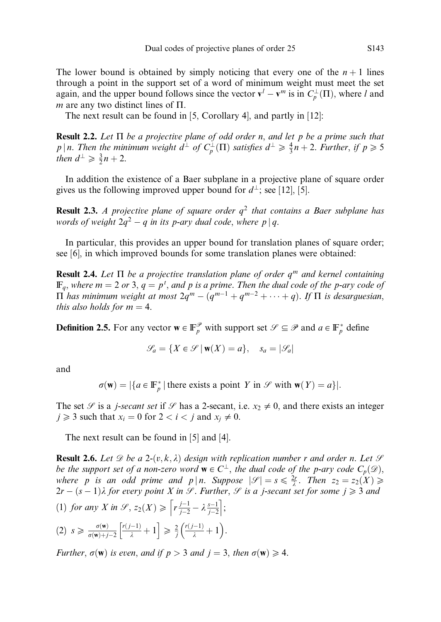The lower bound is obtained by simply noticing that every one of the  $n+1$  lines through a point in the support set of a word of minimum weight must meet the set again, and the upper bound follows since the vector  $\mathbf{v}^l - \mathbf{v}^m$  is in  $C_p^{\perp}(\Pi)$ , where l and m are any two distinct lines of  $\Pi$ .

The next result can be found in [5, Corollary 4], and partly in [12]:

**Result 2.2.** Let  $\Pi$  be a projective plane of odd order n, and let p be a prime such that p | n. Then the minimum weight  $d^{\perp}$  of  $C_p^{\perp}(\Pi)$  satisfies  $d^{\perp} \geq \frac{4}{3}n+2$ . Further, if  $p \geq 5$ then  $d^{\perp} \geqslant \frac{3}{2}n + 2$ .

In addition the existence of a Baer subplane in a projective plane of square order gives us the following improved upper bound for  $d^{\perp}$ ; see [12], [5].

**Result 2.3.** A projective plane of square order  $q^2$  that contains a Baer subplane has words of weight  $2q^2 - q$  in its p-ary dual code, where p | q.

In particular, this provides an upper bound for translation planes of square order; see [6], in which improved bounds for some translation planes were obtained:

**Result 2.4.** Let  $\Pi$  be a projective translation plane of order  $q^m$  and kernel containing  $\mathbb{F}_q$ , where  $m = 2$  or 3,  $q = p^t$ , and p is a prime. Then the dual code of the p-ary code of  $\Pi$  has minimum weight at most  $2q^m - (q^{m-1} + q^{m-2} + \cdots + q)$ . If  $\Pi$  is desarguesian, this also holds for  $m = 4$ .

**Definition 2.5.** For any vector  $\mathbf{w} \in \mathbb{F}_p^{\mathcal{P}}$  with support set  $\mathcal{S} \subseteq \mathcal{P}$  and  $a \in \mathbb{F}_p^*$  define

$$
\mathcal{G}_a = \{ X \in \mathcal{S} \mid \mathbf{w}(X) = a \}, \quad s_a = |\mathcal{G}_a|
$$

and

 $\sigma(\mathbf{w}) = |\{a \in \mathbb{F}_p^* \mid \text{there exists a point } Y \text{ in } \mathcal{S} \text{ with } \mathbf{w}(Y) = a\}|.$ 

The set  $\mathscr S$  is a *j*-secant set if  $\mathscr S$  has a 2-secant, i.e.  $x_2 \neq 0$ , and there exists an integer  $j \geq 3$  such that  $x_i = 0$  for  $2 < i < j$  and  $x_i \neq 0$ .

The next result can be found in [5] and [4].

**Result 2.6.** Let  $\mathcal{D}$  be a 2-(v, k,  $\lambda$ ) design with replication number r and order n. Let  $\mathcal{S}$ be the support set of a non-zero word  $\mathbf{w} \in C^{\perp}$ , the dual code of the p-ary code  $C_p(\mathcal{D})$ , where p is an odd prime and  $p | n$ . Suppose  $|\mathscr{S}| = s \leq \frac{2r}{\lambda}$ . Then  $z_2 = z_2(X) \geq$  $2r - (s - 1)\lambda$  for every point X in  $\mathscr{S}$ . Further,  $\mathscr{S}$  is a j-secant set for some  $j \geq 3$  and (1) for any X in  $\mathcal{S}, z_2(X) \geqslant \left[ r \frac{j-1}{j-2} - \lambda \frac{s-1}{j-2} \right]$ ;

$$
(2) \ \ s \geqslant \frac{\sigma(\mathbf{w})}{\sigma(\mathbf{w})+j-2}\left[\frac{r(j-1)}{\lambda}+1\right] \geqslant \frac{2}{j}\left(\frac{r(j-1)}{\lambda}+1\right).
$$

Further,  $\sigma(\mathbf{w})$  is even, and if  $p > 3$  and  $j = 3$ , then  $\sigma(\mathbf{w}) \geq 4$ .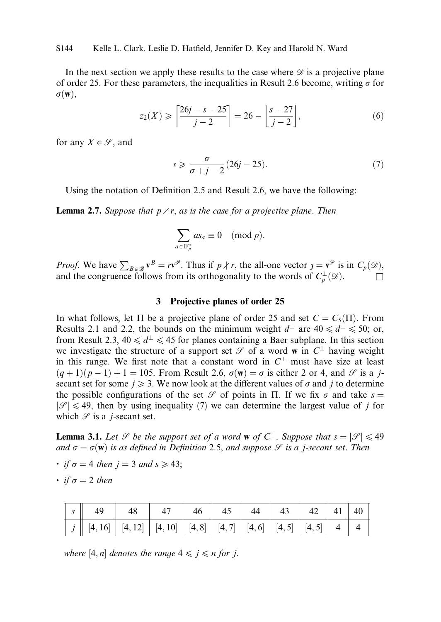In the next section we apply these results to the case where  $\mathscr D$  is a projective plane of order 25. For these parameters, the inequalities in Result 2.6 become, writing  $\sigma$  for  $\sigma(\mathbf{w})$ ,

$$
z_2(X) \ge \left\lceil \frac{26j - s - 25}{j - 2} \right\rceil = 26 - \left\lfloor \frac{s - 27}{j - 2} \right\rfloor,\tag{6}
$$

for any  $X \in \mathcal{S}$ , and

$$
s \geqslant \frac{\sigma}{\sigma + j - 2} (26j - 25). \tag{7}
$$

Using the notation of Definition 2.5 and Result 2.6, we have the following:

**Lemma 2.7.** Suppose that  $p \nmid r$ , as is the case for a projective plane. Then

$$
\sum_{a\in \mathbb{F}_p^*} a s_a \equiv 0 \pmod{p}.
$$

*Proof.* We have  $\sum_{B \in \mathcal{B}} \mathbf{v}^B = r\mathbf{v}^{\mathcal{P}}$ . Thus if  $p \nmid r$ , the all-one vector  $\mathbf{y} = \mathbf{v}^{\mathcal{P}}$  is in  $C_p(\mathcal{D})$ , and the congruence follows from its orthogonality to the words of  $C_p^{\perp}(\mathscr{D})$ .

## 3 Projective planes of order 25

In what follows, let  $\Pi$  be a projective plane of order 25 and set  $C = C_5(\Pi)$ . From Results 2.1 and 2.2, the bounds on the minimum weight  $d^{\perp}$  are  $40 \le d^{\perp} \le 50$ ; or, from Result 2.3,  $40 \le d^{\perp} \le 45$  for planes containing a Baer subplane. In this section we investigate the structure of a support set  $\mathscr S$  of a word w in  $C^{\perp}$  having weight in this range. We first note that a constant word in  $C^{\perp}$  must have size at least  $(q+1)(p-1)+1=105$ . From Result 2.6,  $\sigma(\mathbf{w})=\sigma$  is either 2 or 4, and  $\mathcal{S}$  is a jsecant set for some  $j \geq 3$ . We now look at the different values of  $\sigma$  and j to determine the possible configurations of the set  $\mathscr S$  of points in  $\Pi$ . If we fix  $\sigma$  and take  $s =$  $|\mathscr{S}| \leq 49$ , then by using inequality (7) we can determine the largest value of j for which  $\mathscr S$  is a *j*-secant set.

**Lemma 3.1.** Let  $\mathscr S$  be the support set of a word **w** of  $C^{\perp}$ . Suppose that  $s = |\mathscr S| \leq 49$ and  $\sigma = \sigma(\mathbf{w})$  is as defined in Definition 2.5, and suppose  $\mathcal{S}$  is a j-secant set. Then

- if  $\sigma = 4$  then  $i = 3$  and  $s \ge 43$ ;
- $\cdot$  if  $\sigma = 2$  then

where [4, n] denotes the range  $4 \leq j \leq n$  for j.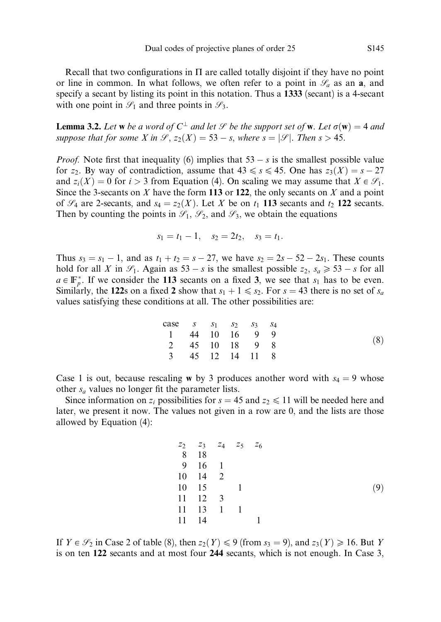Recall that two configurations in  $\Pi$  are called totally disjoint if they have no point or line in common. In what follows, we often refer to a point in  $\mathscr{S}_a$  as an **a**, and specify a secant by listing its point in this notation. Thus a 1333 (secant) is a 4-secant with one point in  $\mathcal{S}_1$  and three points in  $\mathcal{S}_3$ .

**Lemma 3.2.** Let **w** be a word of  $C^{\perp}$  and let *S* be the support set of **w**. Let  $\sigma(\mathbf{w}) = 4$  and suppose that for some X in  $\mathcal{S}, z_2(X) = 53 - s$ , where  $s = |\mathcal{S}|$ . Then  $s > 45$ .

*Proof.* Note first that inequality (6) implies that  $53 - s$  is the smallest possible value for  $z_2$ . By way of contradiction, assume that  $43 \le s \le 45$ . One has  $z_3(X) = s - 27$ and  $z_i(X) = 0$  for  $i > 3$  from Equation (4). On scaling we may assume that  $X \in \mathcal{S}_1$ . Since the 3-secants on  $X$  have the form 113 or 122, the only secants on  $X$  and a point of  $\mathcal{S}_4$  are 2-secants, and  $s_4 = z_2(X)$ . Let X be on  $t_1$  113 secants and  $t_2$  122 secants. Then by counting the points in  $\mathcal{S}_1$ ,  $\mathcal{S}_2$ , and  $\mathcal{S}_3$ , we obtain the equations

$$
s_1 = t_1 - 1, \quad s_2 = 2t_2, \quad s_3 = t_1.
$$

Thus  $s_3 = s_1 - 1$ , and as  $t_1 + t_2 = s - 27$ , we have  $s_2 = 2s - 52 - 2s_1$ . These counts hold for all X in  $\mathcal{S}_1$ . Again as  $53 - s$  is the smallest possible  $z_2$ ,  $s_a \geq 53 - s$  for all  $a \in \mathbb{F}_p^*$ . If we consider the 113 secants on a fixed 3, we see that  $s_1$  has to be even. Similarly, the 122s on a fixed 2 show that  $s_1 + 1 \leq s_2$ . For  $s = 43$  there is no set of  $s_a$ values satisfying these conditions at all. The other possibilities are:

| case | $s$ | $s_1$ | $s_2$ | $s_3$ | $s_4$ |
|------|-----|-------|-------|-------|-------|
| 1    | 44  | 10    | 16    | 9     | 9     |
| 2    | 45  | 10    | 18    | 9     | 8     |
| 3    | 45  | 12    | 14    | 11    | 8     |

Case 1 is out, because rescaling w by 3 produces another word with  $s_4 = 9$  whose other  $s_a$  values no longer fit the parameter lists.

Since information on  $z_i$  possibilities for  $s = 45$  and  $z_2 \le 11$  will be needed here and later, we present it now. The values not given in a row are 0, and the lists are those allowed by Equation (4):

z<sup>2</sup> z<sup>3</sup> z<sup>4</sup> z<sup>5</sup> z<sup>6</sup> 8 18 9 16 1 10 14 2 10 15 1 11 12 3 11 13 1 1 11 14 1 ð9Þ

If  $Y \in \mathcal{S}_2$  in Case 2 of table (8), then  $z_2(Y) \leq 9$  (from  $s_3 = 9$ ), and  $z_3(Y) \geq 16$ . But Y is on ten 122 secants and at most four 244 secants, which is not enough. In Case 3,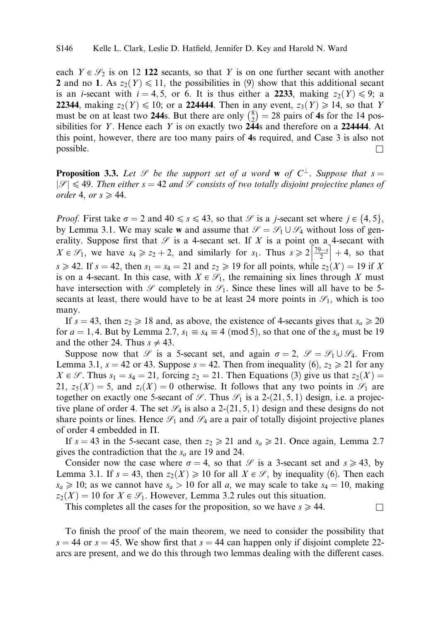each  $Y \in \mathcal{S}_2$  is on 12 122 secants, so that Y is on one further secant with another 2 and no 1. As  $z_2(Y) \le 11$ , the possibilities in (9) show that this additional secant is an *i*-secant with  $i = 4, 5$ , or 6. It is thus either a 2233, making  $z_2(Y) \le 9$ ; a **22344**, making  $z_2(Y) \le 10$ ; or a **224444**. Then in any event,  $z_3(Y) \ge 14$ , so that Y must be on at least two 244s. But there are only  $\binom{8}{2} = 28$  pairs of 4s for the 14 possibilities for Y. Hence each Y is on exactly two 244s and therefore on a 224444. At this point, however, there are too many pairs of 4s required, and Case 3 is also not  $\Box$  possible.

**Proposition 3.3.** Let  $\mathscr S$  be the support set of a word **w** of  $C^{\perp}$ . Suppose that  $s =$  $|\mathcal{S}| \leq 49$ . Then either  $s = 42$  and  $\mathcal{S}$  consists of two totally disjoint projective planes of order 4, or  $s \geq 44$ .

*Proof.* First take  $\sigma = 2$  and  $40 \le s \le 43$ , so that  $\mathscr P$  is a *j*-secant set where  $j \in \{4, 5\}$ , by Lemma 3.1. We may scale w and assume that  $\mathcal{S} = \mathcal{S}_1 \cup \mathcal{S}_4$  without loss of generality. Suppose first that  $\mathscr S$  is a 4-secant set. If X is a point on a 4-secant with eranty. Suppose first that  $\mathcal{F}$  is a 4-secant set. If  $\lambda$  is a point on a 4-secant with  $X \in \mathcal{S}_1$ , we have  $s_4 \geq z_2 + 2$ , and similarly for  $s_1$ . Thus  $s \geq 2 \left[ \frac{79-s}{2} \right] + 4$ , so that  $s \ge 42$ . If  $s = 42$ , then  $s_1 = s_4 = 21$  and  $z_2 \ge 19$  for all points, while  $z_2(X) = 19$  if X is on a 4-secant. In this case, with  $X \in \mathcal{S}_1$ , the remaining six lines through X must have intersection with  $\mathscr S$  completely in  $\mathscr S_1$ . Since these lines will all have to be 5secants at least, there would have to be at least 24 more points in  $\mathcal{S}_1$ , which is too many.

If  $s = 43$ , then  $z_2 \ge 18$  and, as above, the existence of 4-secants gives that  $s_a \ge 20$ for  $a = 1, 4$ . But by Lemma 2.7,  $s_1 \equiv s_4 \equiv 4 \pmod{5}$ , so that one of the  $s_a$  must be 19 and the other 24. Thus  $s \neq 43$ .

Suppose now that  $\mathscr{S}$  is a 5-secant set, and again  $\sigma = 2$ ,  $\mathscr{S} = \mathscr{S}_1 \cup \mathscr{S}_4$ . From Lemma 3.1,  $s = 42$  or 43. Suppose  $s = 42$ . Then from inequality (6),  $z_2 \ge 21$  for any  $X \in \mathcal{S}$ . Thus  $s_1 = s_4 = 21$ , forcing  $z_2 = 21$ . Then Equations (3) give us that  $z_2(X) =$ 21,  $z_5(X) = 5$ , and  $z_i(X) = 0$  otherwise. It follows that any two points in  $\mathcal{S}_1$  are together on exactly one 5-secant of  $\mathcal{S}$ . Thus  $\mathcal{S}_1$  is a 2-(21, 5, 1) design, i.e. a projective plane of order 4. The set  $\mathcal{S}_4$  is also a 2-(21, 5, 1) design and these designs do not share points or lines. Hence  $\mathcal{S}_1$  and  $\mathcal{S}_4$  are a pair of totally disjoint projective planes of order 4 embedded in  $\Pi$ .

If  $s = 43$  in the 5-secant case, then  $z_2 \ge 21$  and  $s_a \ge 21$ . Once again, Lemma 2.7 gives the contradiction that the  $s_a$  are 19 and 24.

Consider now the case where  $\sigma = 4$ , so that  $\mathscr S$  is a 3-secant set and  $s \geq 43$ , by Lemma 3.1. If  $s = 43$ , then  $z_2(X) \ge 10$  for all  $X \in \mathcal{S}$ , by inequality (6). Then each  $s_a \ge 10$ ; as we cannot have  $s_a > 10$  for all a, we may scale to take  $s_4 = 10$ , making  $z_2(X) = 10$  for  $X \in \mathcal{S}_1$ . However, Lemma 3.2 rules out this situation.

This completes all the cases for the proposition, so we have  $s \ge 44$ .

To finish the proof of the main theorem, we need to consider the possibility that  $s = 44$  or  $s = 45$ . We show first that  $s = 44$  can happen only if disjoint complete 22arcs are present, and we do this through two lemmas dealing with the different cases.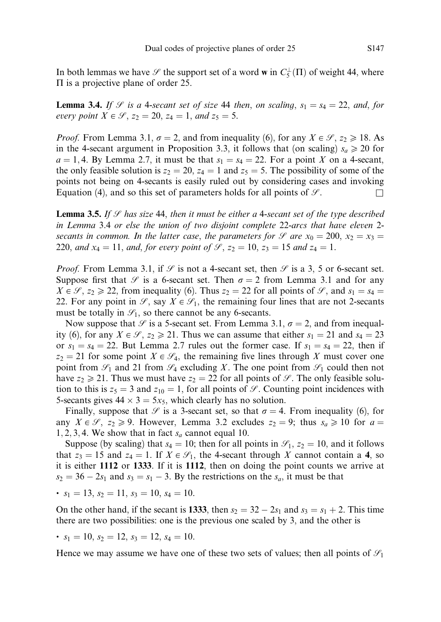In both lemmas we have  $\mathscr S$  the support set of a word **w** in  $C_5^{\perp}(\Pi)$  of weight 44, where  $\Pi$  is a projective plane of order 25.

**Lemma 3.4.** If *S* is a 4-secant set of size 44 then, on scaling,  $s_1 = s_4 = 22$ , and, for every point  $X \in \mathcal{S}$ ,  $z_2 = 20$ ,  $z_4 = 1$ , and  $z_5 = 5$ .

*Proof.* From Lemma 3.1,  $\sigma = 2$ , and from inequality (6), for any  $X \in \mathcal{S}$ ,  $z_2 \ge 18$ . As in the 4-secant argument in Proposition 3.3, it follows that (on scaling)  $s_a \ge 20$  for  $a = 1, 4$ . By Lemma 2.7, it must be that  $s_1 = s_4 = 22$ . For a point X on a 4-secant, the only feasible solution is  $z_2 = 20$ ,  $z_4 = 1$  and  $z_5 = 5$ . The possibility of some of the points not being on 4-secants is easily ruled out by considering cases and invoking Equation (4), and so this set of parameters holds for all points of  $\mathcal{S}$ .

**Lemma 3.5.** If  $\mathcal{S}$  has size 44, then it must be either a 4-secant set of the type described in Lemma 3.4 or else the union of two disjoint complete 22-arcs that have eleven 2 secants in common. In the latter case, the parameters for  $\mathcal G$  are  $x_0 = 200, x_2 = x_3 =$ 220, and  $x_4 = 11$ , and, for every point of  $\mathcal{S}, z_2 = 10, z_3 = 15$  and  $z_4 = 1$ .

*Proof.* From Lemma 3.1, if  $\mathcal{S}$  is not a 4-secant set, then  $\mathcal{S}$  is a 3, 5 or 6-secant set. Suppose first that  $\mathscr S$  is a 6-secant set. Then  $\sigma = 2$  from Lemma 3.1 and for any  $X \in \mathcal{S}$ ,  $z_2 \ge 22$ , from inequality (6). Thus  $z_2 = 22$  for all points of  $\mathcal{S}$ , and  $s_1 = s_4 =$ 22. For any point in  $\mathscr{S}$ , say  $X \in \mathscr{S}_1$ , the remaining four lines that are not 2-secants must be totally in  $\mathcal{S}_1$ , so there cannot be any 6-secants.

Now suppose that  $\mathscr S$  is a 5-secant set. From Lemma 3.1,  $\sigma = 2$ , and from inequality (6), for any  $X \in \mathcal{S}$ ,  $z_2 \ge 21$ . Thus we can assume that either  $s_1 = 21$  and  $s_4 = 23$ or  $s_1 = s_4 = 22$ . But Lemma 2.7 rules out the former case. If  $s_1 = s_4 = 22$ , then if  $z_2 = 21$  for some point  $X \in \mathcal{G}_4$ , the remaining five lines through X must cover one point from  $\mathcal{S}_1$  and 21 from  $\mathcal{S}_4$  excluding X. The one point from  $\mathcal{S}_1$  could then not have  $z_2 \geq 21$ . Thus we must have  $z_2 = 22$  for all points of  $\mathcal{S}$ . The only feasible solution to this is  $z_5 = 3$  and  $z_{10} = 1$ , for all points of  $\mathscr S$ . Counting point incidences with 5-secants gives  $44 \times 3 = 5x_5$ , which clearly has no solution.

Finally, suppose that  $\mathcal P$  is a 3-secant set, so that  $\sigma = 4$ . From inequality (6), for any  $X \in \mathcal{S}$ ,  $z_2 \ge 9$ . However, Lemma 3.2 excludes  $z_2 = 9$ ; thus  $s_a \ge 10$  for  $a =$ 1, 2, 3, 4. We show that in fact  $s_a$  cannot equal 10.

Suppose (by scaling) that  $s_4 = 10$ ; then for all points in  $\mathcal{S}_1$ ,  $z_2 = 10$ , and it follows that  $z_3 = 15$  and  $z_4 = 1$ . If  $X \in \mathcal{S}_1$ , the 4-secant through X cannot contain a 4, so it is either 1112 or 1333. If it is 1112, then on doing the point counts we arrive at  $s_2 = 36 - 2s_1$  and  $s_3 = s_1 - 3$ . By the restrictions on the  $s_a$ , it must be that

• 
$$
s_1 = 13
$$
,  $s_2 = 11$ ,  $s_3 = 10$ ,  $s_4 = 10$ .

On the other hand, if the secant is 1333, then  $s_2 = 32 - 2s_1$  and  $s_3 = s_1 + 2$ . This time there are two possibilities: one is the previous one scaled by 3, and the other is

•  $s_1 = 10$ ,  $s_2 = 12$ ,  $s_3 = 12$ ,  $s_4 = 10$ .

Hence we may assume we have one of these two sets of values; then all points of  $\mathcal{S}_1$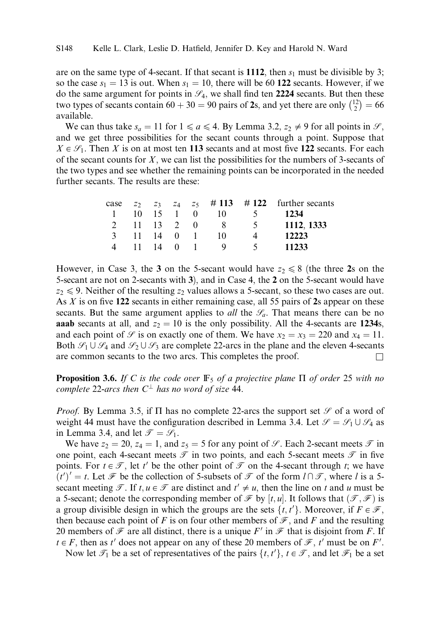are on the same type of 4-secant. If that secant is 1112, then  $s_1$  must be divisible by 3; so the case  $s_1 = 13$  is out. When  $s_1 = 10$ , there will be 60 122 secants. However, if we do the same argument for points in  $\mathcal{S}_4$ , we shall find ten 2224 secants. But then these two types of secants contain  $60 + 30 = 90$  pairs of 2s, and yet there are only  $\binom{12}{2} = 66$ available.

We can thus take  $s_a = 11$  for  $1 \le a \le 4$ . By Lemma 3.2,  $z_2 \ne 9$  for all points in  $\mathcal{S}$ , and we get three possibilities for the secant counts through a point. Suppose that  $X \in \mathcal{S}_1$ . Then X is on at most ten 113 secants and at most five 122 secants. For each of the secant counts for  $X$ , we can list the possibilities for the numbers of 3-secants of the two types and see whether the remaining points can be incorporated in the needed further secants. The results are these:

|   |           |  |                  |          | case $z_2$ $z_3$ $z_4$ $z_5$ $\#$ 113 $\#$ 122 further secants |
|---|-----------|--|------------------|----------|----------------------------------------------------------------|
|   |           |  | 1 10 15 1 0 10 5 |          | 1234                                                           |
|   |           |  | 2 11 13 2 0 8 5  |          | 1112, 1333                                                     |
|   |           |  | 3 11 14 0 1 10   |          | 12223                                                          |
| 4 | 11 14 0 1 |  |                  | $\sim$ 5 | 11233                                                          |

However, in Case 3, the 3 on the 5-secant would have  $z_2 \le 8$  (the three 2s on the 5-secant are not on 2-secants with 3), and in Case 4, the 2 on the 5-secant would have  $z_2 \leq 9$ . Neither of the resulting  $z_2$  values allows a 5-secant, so these two cases are out. As  $X$  is on five 122 secants in either remaining case, all 55 pairs of 2s appear on these secants. But the same argument applies to *all* the  $\mathcal{S}_a$ . That means there can be no **aaab** secants at all, and  $z_2 = 10$  is the only possibility. All the 4-secants are 1234s, and each point of  $\mathcal S$  is on exactly one of them. We have  $x_2 = x_3 = 220$  and  $x_4 = 11$ . Both  $\mathscr{S}_1 \cup \mathscr{S}_4$  and  $\mathscr{S}_2 \cup \mathscr{S}_3$  are complete 22-arcs in the plane and the eleven 4-secants are common secants to the two arcs. This completes the proof.

**Proposition 3.6.** If C is the code over  $\mathbb{F}_5$  of a projective plane  $\Pi$  of order 25 with no complete 22-arcs then  $C^{\perp}$  has no word of size 44.

*Proof.* By Lemma 3.5, if  $\Pi$  has no complete 22-arcs the support set  $\mathscr S$  of a word of weight 44 must have the configuration described in Lemma 3.4. Let  $\mathcal{S} = \mathcal{S}_1 \cup \mathcal{S}_4$  as in Lemma 3.4, and let  $\mathcal{T} = \mathcal{S}_1$ .

We have  $z_2 = 20$ ,  $z_4 = 1$ , and  $z_5 = 5$  for any point of  $\mathscr{S}$ . Each 2-secant meets  $\mathscr{T}$  in one point, each 4-secant meets  $\mathcal T$  in two points, and each 5-secant meets  $\mathcal T$  in five points. For  $t \in \mathcal{T}$ , let t' be the other point of  $\mathcal T$  on the 4-secant through t; we have  $\overline{f}(t')' = t$ . Let  $\mathcal F$  be the collection of 5-subsets of  $\mathcal T$  of the form  $l \cap \mathcal T$ , where l is a 5secant meeting  $\mathcal{T}$ . If  $t, u \in \mathcal{T}$  are distinct and  $t' \neq u$ , then the line on t and u must be a 5-secant; denote the corresponding member of  $\mathcal F$  by  $[t, u]$ . It follows that  $(\mathcal T, \mathcal F)$  is a group divisible design in which the groups are the sets  $\{t, t'\}$ . Moreover, if  $F \in \mathscr{F}$ , then because each point of F is on four other members of  $\mathcal{F}$ , and F and the resulting 20 members of  $\mathcal F$  are all distinct, there is a unique  $F'$  in  $\mathcal F$  that is disjoint from F. If  $t \in F$ , then as t' does not appear on any of these 20 members of  $\mathcal{F}$ , t' must be on F'.

Now let  $\mathcal{T}_1$  be a set of representatives of the pairs  $\{t, t'\}$ ,  $t \in \mathcal{T}$ , and let  $\mathcal{F}_1$  be a set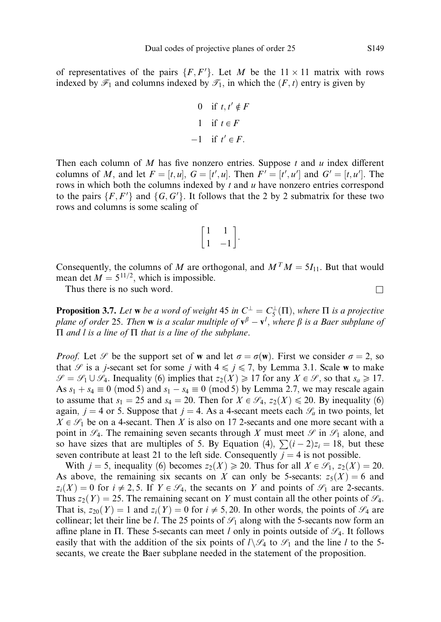of representatives of the pairs  $\{F, F'\}$ . Let M be the  $11 \times 11$  matrix with rows indexed by  $\mathcal{F}_1$  and columns indexed by  $\mathcal{F}_1$ , in which the  $(F, t)$  entry is given by

\n
$$
\begin{aligned}\n 0 & \text{if } t, t' \notin F \\
1 & \text{if } t \in F \\
-1 & \text{if } t' \in F.\n \end{aligned}
$$
\n

Then each column of M has five nonzero entries. Suppose  $t$  and  $u$  index different columns of M, and let  $F = [t, u]$ ,  $G = [t', u]$ . Then  $F' = [t', u']$  and  $G' = [t, u']$ . The rows in which both the columns indexed by  $t$  and  $u$  have nonzero entries correspond to the pairs  $\{F, F'\}$  and  $\{G, G'\}$ . It follows that the 2 by 2 submatrix for these two rows and columns is some scaling of

$$
\begin{bmatrix} 1 & 1 \ 1 & -1 \end{bmatrix}.
$$

Consequently, the columns of M are orthogonal, and  $M^T M = 5I_{11}$ . But that would mean det  $M = 5^{11/2}$ , which is impossible.

Thus there is no such word.  $\Box$ 

**Proposition 3.7.** Let **w** be a word of weight 45 in  $C^{\perp} = C^{\perp}_5(\Pi)$ , where  $\Pi$  is a projective plane of order 25. Then **w** is a scalar multiple of  $v^{\beta} - v^{\ell}$ , where  $\beta$  is a Baer subplane of  $\Pi$  and l is a line of  $\Pi$  that is a line of the subplane.

*Proof.* Let  $\mathscr S$  be the support set of **w** and let  $\sigma = \sigma(\mathbf{w})$ . First we consider  $\sigma = 2$ , so that  $\mathscr S$  is a j-secant set for some j with  $4 \leq j \leq 7$ , by Lemma 3.1. Scale w to make  $\mathcal{S} = \mathcal{S}_1 \cup \mathcal{S}_4$ . Inequality (6) implies that  $z_2(X) \geq 17$  for any  $X \in \mathcal{S}$ , so that  $s_a \geq 17$ . As  $s_1 + s_4 \equiv 0 \pmod{5}$  and  $s_1 - s_4 \equiv 0 \pmod{5}$  by Lemma 2.7, we may rescale again to assume that  $s_1 = 25$  and  $s_4 = 20$ . Then for  $X \in \mathcal{S}_4$ ,  $z_2(X) \le 20$ . By inequality (6) again,  $j = 4$  or 5. Suppose that  $j = 4$ . As a 4-secant meets each  $\mathcal{S}_a$  in two points, let  $X \in \mathcal{S}_1$  be on a 4-secant. Then X is also on 17 2-secants and one more secant with a point in  $\mathcal{S}_4$ . The remaining seven secants through X must meet  $\mathcal{S}$  in  $\mathcal{S}_1$  alone, and so have sizes that are multiples of 5. By Equation (4),  $\sum (i - 2)z_i = 18$ , but these seven contribute at least 21 to the left side. Consequently  $j = 4$  is not possible.

With  $j = 5$ , inequality (6) becomes  $z_2(X) \ge 20$ . Thus for all  $X \in \mathcal{S}_1$ ,  $z_2(X) = 20$ . As above, the remaining six secants on X can only be 5-secants:  $z_5(X) = 6$  and  $z_i(X) = 0$  for  $i \neq 2, 5$ . If  $Y \in \mathcal{S}_4$ , the secants on Y and points of  $\mathcal{S}_1$  are 2-secants. Thus  $z_2(Y) = 25$ . The remaining secant on Y must contain all the other points of  $\mathscr{S}_4$ . That is,  $z_{20}(Y) = 1$  and  $z_i(Y) = 0$  for  $i \neq 5, 20$ . In other words, the points of  $\mathcal{G}_4$  are collinear; let their line be l. The 25 points of  $\mathcal{S}_1$  along with the 5-secants now form an affine plane in  $\Pi$ . These 5-secants can meet l only in points outside of  $\mathcal{G}_4$ . It follows easily that with the addition of the six points of  $l\setminus\mathcal{S}_4$  to  $\mathcal{S}_1$  and the line l to the 5secants, we create the Baer subplane needed in the statement of the proposition.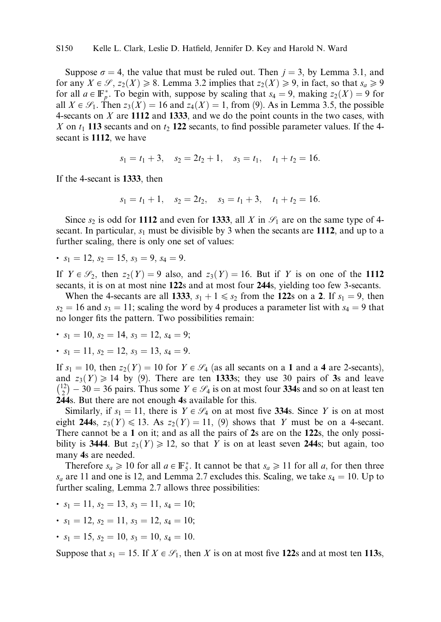Suppose  $\sigma = 4$ , the value that must be ruled out. Then  $j = 3$ , by Lemma 3.1, and for any  $X \in \mathcal{S}, z_2(X) \ge 8$ . Lemma 3.2 implies that  $z_2(X) \ge 9$ , in fact, so that  $s_a \ge 9$ for all  $a \in \mathbb{F}_p^*$ . To begin with, suppose by scaling that  $s_4 = 9$ , making  $z_2(X) = 9$  for all  $X \in \mathcal{S}_1$ . Then  $z_3(X) = 16$  and  $z_4(X) = 1$ , from (9). As in Lemma 3.5, the possible 4-secants on  $X$  are 1112 and 1333, and we do the point counts in the two cases, with X on  $t_1$  113 secants and on  $t_2$  122 secants, to find possible parameter values. If the 4secant is 1112, we have

$$
s_1 = t_1 + 3
$$
,  $s_2 = 2t_2 + 1$ ,  $s_3 = t_1$ ,  $t_1 + t_2 = 16$ .

If the 4-secant is 1333, then

$$
s_1 = t_1 + 1
$$
,  $s_2 = 2t_2$ ,  $s_3 = t_1 + 3$ ,  $t_1 + t_2 = 16$ .

Since  $s_2$  is odd for 1112 and even for 1333, all X in  $\mathcal{S}_1$  are on the same type of 4secant. In particular,  $s_1$  must be divisible by 3 when the secants are 1112, and up to a further scaling, there is only one set of values:

• 
$$
s_1 = 12
$$
,  $s_2 = 15$ ,  $s_3 = 9$ ,  $s_4 = 9$ .

If  $Y \in \mathscr{S}_2$ , then  $z_2(Y) = 9$  also, and  $z_3(Y) = 16$ . But if Y is on one of the 1112 secants, it is on at most nine 122s and at most four 244s, yielding too few 3-secants.

When the 4-secants are all 1333,  $s_1 + 1 \le s_2$  from the 122s on a 2. If  $s_1 = 9$ , then  $s_2 = 16$  and  $s_3 = 11$ ; scaling the word by 4 produces a parameter list with  $s_4 = 9$  that no longer fits the pattern. Two possibilities remain:

• 
$$
s_1 = 10
$$
,  $s_2 = 14$ ,  $s_3 = 12$ ,  $s_4 = 9$ ;

• 
$$
s_1 = 11
$$
,  $s_2 = 12$ ,  $s_3 = 13$ ,  $s_4 = 9$ .

If  $s_1 = 10$ , then  $z_2(Y) = 10$  for  $Y \in \mathcal{G}_4$  (as all secants on a 1 and a 4 are 2-secants), and  $z_3(Y) \ge 14$  by (9). There are ten 1333s; they use 30 pairs of 3s and leave  $\binom{12}{2} - 30 = 36$  pairs. Thus some  $Y \in \mathscr{S}_4$  is on at most four 334s and so on at least ten 244s. But there are not enough 4s available for this.

Similarly, if  $s_1 = 11$ , there is  $Y \in \mathcal{G}_4$  on at most five 334s. Since Y is on at most eight 244s,  $z_3(Y) \le 13$ . As  $z_2(Y) = 11$ , (9) shows that Y must be on a 4-secant. There cannot be a 1 on it; and as all the pairs of 2s are on the 122s, the only possibility is 3444. But  $z_3(Y) \ge 12$ , so that Y is on at least seven 244s; but again, too many 4s are needed.

Therefore  $s_a \ge 10$  for all  $a \in \mathbb{F}_5^*$ . It cannot be that  $s_a \ge 11$  for all a, for then three  $s_a$  are 11 and one is 12, and Lemma 2.7 excludes this. Scaling, we take  $s_4 = 10$ . Up to further scaling, Lemma 2.7 allows three possibilities:

• 
$$
s_1 = 11
$$
,  $s_2 = 13$ ,  $s_3 = 11$ ,  $s_4 = 10$ ;

- $s_1 = 12$ ,  $s_2 = 11$ ,  $s_3 = 12$ ,  $s_4 = 10$ ;
- $s_1 = 15$ ,  $s_2 = 10$ ,  $s_3 = 10$ ,  $s_4 = 10$ .

Suppose that  $s_1 = 15$ . If  $X \in \mathcal{S}_1$ , then X is on at most five 122s and at most ten 113s,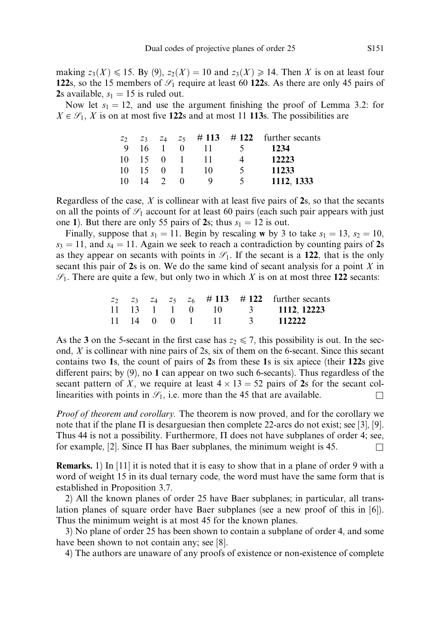making  $z_3(X) \le 15$ . By (9),  $z_2(X) = 10$  and  $z_3(X) \ge 14$ . Then X is on at least four 122s, so the 15 members of  $\mathcal{S}_1$  require at least 60 122s. As there are only 45 pairs of 2s available,  $s_1 = 15$  is ruled out.

Now let  $s_1 = 12$ , and use the argument finishing the proof of Lemma 3.2: for  $X \in \mathcal{S}_1$ , X is on at most five 122s and at most 11 113s. The possibilities are

| Z <sub>2</sub> |                       |              |          |      |                | $z_3$ $z_4$ $z_5$ # 113 # 122 further secants |
|----------------|-----------------------|--------------|----------|------|----------------|-----------------------------------------------|
|                | 9 16 1                |              | $\Omega$ | 11   | $\overline{5}$ | 1234                                          |
|                | $10 \t15 \t0 \t1$     |              |          | - 11 | 4              | 12223                                         |
|                | $10 \quad 15 \quad 0$ |              |          | - 10 | $\mathcal{F}$  | 11233                                         |
| 10             |                       | $14 \quad 2$ | $\theta$ |      | 5 <sup>5</sup> | 1112, 1333                                    |

Regardless of the case,  $X$  is collinear with at least five pairs of 2s, so that the secants on all the points of  $\mathcal{S}_1$  account for at least 60 pairs (each such pair appears with just one 1). But there are only 55 pairs of 2s; thus  $s_1 = 12$  is out.

Finally, suppose that  $s_1 = 11$ . Begin by rescaling w by 3 to take  $s_1 = 13$ ,  $s_2 = 10$ ,  $s_3 = 11$ , and  $s_4 = 11$ . Again we seek to reach a contradiction by counting pairs of 2s as they appear on secants with points in  $\mathcal{S}_1$ . If the secant is a 122, that is the only secant this pair of  $2s$  is on. We do the same kind of secant analysis for a point  $X$  in  $\mathcal{S}_1$ . There are quite a few, but only two in which X is on at most three 122 secants:

|  |  |  | $z_2$ $z_3$ $z_4$ $z_5$ $z_6$ $\#$ 113 $\#$ 122 further secants         |
|--|--|--|-------------------------------------------------------------------------|
|  |  |  | $11 \quad 13 \quad 1 \quad 1 \quad 0 \quad 10 \quad 3 \quad 1112,12223$ |
|  |  |  | $11 \t14 \t0 \t0 \t1 \t11 \t3 \t112222$                                 |

As the 3 on the 5-secant in the first case has  $z_2 \le 7$ , this possibility is out. In the second,  $X$  is collinear with nine pairs of 2s, six of them on the 6-secant. Since this secant contains two 1s, the count of pairs of 2s from these 1s is six apiece (their 122s give different pairs; by  $(9)$ , no 1 can appear on two such 6-secants). Thus regardless of the secant pattern of X, we require at least  $4 \times 13 = 52$  pairs of 2s for the secant collinearities with points in  $\mathcal{S}_1$ , i.e. more than the 45 that are available.

Proof of theorem and corollary. The theorem is now proved, and for the corollary we note that if the plane  $\Pi$  is desarguesian then complete 22-arcs do not exist; see [3], [9]. Thus 44 is not a possibility. Furthermore,  $\Pi$  does not have subplanes of order 4; see, for example, [2]. Since  $\Pi$  has Baer subplanes, the minimum weight is 45.

Remarks. 1) In [11] it is noted that it is easy to show that in a plane of order 9 with a word of weight 15 in its dual ternary code, the word must have the same form that is established in Proposition 3.7.

2) All the known planes of order 25 have Baer subplanes; in particular, all translation planes of square order have Baer subplanes (see a new proof of this in [6]). Thus the minimum weight is at most 45 for the known planes.

3) No plane of order 25 has been shown to contain a subplane of order 4, and some have been shown to not contain any; see [8].

4) The authors are unaware of any proofs of existence or non-existence of complete